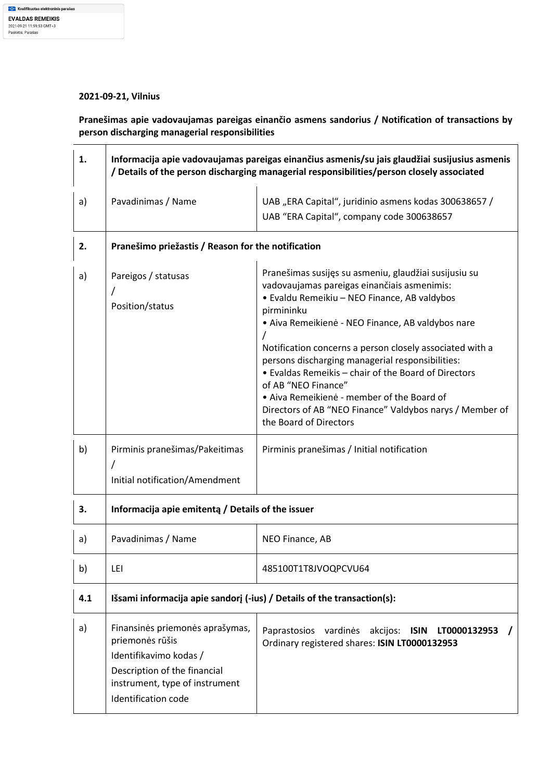## **2021-09-21, Vilnius**

**Pranešimas apie vadovaujamas pareigas einančio asmens sandorius / Notification of transactions by person discharging managerial responsibilities** 

| 1.  | Informacija apie vadovaujamas pareigas einančius asmenis/su jais glaudžiai susijusius asmenis<br>/ Details of the person discharging managerial responsibilities/person closely associated |                                                                                                                                                                                                                                                                                                                                                                                                                                                                                                                                                            |  |
|-----|--------------------------------------------------------------------------------------------------------------------------------------------------------------------------------------------|------------------------------------------------------------------------------------------------------------------------------------------------------------------------------------------------------------------------------------------------------------------------------------------------------------------------------------------------------------------------------------------------------------------------------------------------------------------------------------------------------------------------------------------------------------|--|
| a)  | Pavadinimas / Name                                                                                                                                                                         | UAB "ERA Capital", juridinio asmens kodas 300638657 /<br>UAB "ERA Capital", company code 300638657                                                                                                                                                                                                                                                                                                                                                                                                                                                         |  |
| 2.  | Pranešimo priežastis / Reason for the notification                                                                                                                                         |                                                                                                                                                                                                                                                                                                                                                                                                                                                                                                                                                            |  |
| a)  | Pareigos / statusas<br>Position/status                                                                                                                                                     | Pranešimas susijęs su asmeniu, glaudžiai susijusiu su<br>vadovaujamas pareigas einančiais asmenimis:<br>· Evaldu Remeikiu - NEO Finance, AB valdybos<br>pirmininku<br>· Aiva Remeikienė - NEO Finance, AB valdybos nare<br>Notification concerns a person closely associated with a<br>persons discharging managerial responsibilities:<br>• Evaldas Remeikis – chair of the Board of Directors<br>of AB "NEO Finance"<br>• Aiva Remeikienė - member of the Board of<br>Directors of AB "NEO Finance" Valdybos narys / Member of<br>the Board of Directors |  |
| b)  | Pirminis pranešimas/Pakeitimas                                                                                                                                                             | Pirminis pranešimas / Initial notification                                                                                                                                                                                                                                                                                                                                                                                                                                                                                                                 |  |
| 3.  | Initial notification/Amendment<br>Informacija apie emitentą / Details of the issuer                                                                                                        |                                                                                                                                                                                                                                                                                                                                                                                                                                                                                                                                                            |  |
| a)  | Pavadinimas / Name                                                                                                                                                                         | NEO Finance, AB                                                                                                                                                                                                                                                                                                                                                                                                                                                                                                                                            |  |
| b)  | LEI                                                                                                                                                                                        | 485100T1T8JVOQPCVU64                                                                                                                                                                                                                                                                                                                                                                                                                                                                                                                                       |  |
| 4.1 | Išsami informacija apie sandorį (-ius) / Details of the transaction(s):                                                                                                                    |                                                                                                                                                                                                                                                                                                                                                                                                                                                                                                                                                            |  |
| a)  | Finansinės priemonės aprašymas,<br>priemonės rūšis<br>Identifikavimo kodas /<br>Description of the financial<br>instrument, type of instrument<br>Identification code                      | Paprastosios vardinės akcijos:<br><b>ISIN</b><br>LT0000132953<br>Ordinary registered shares: ISIN LT0000132953                                                                                                                                                                                                                                                                                                                                                                                                                                             |  |